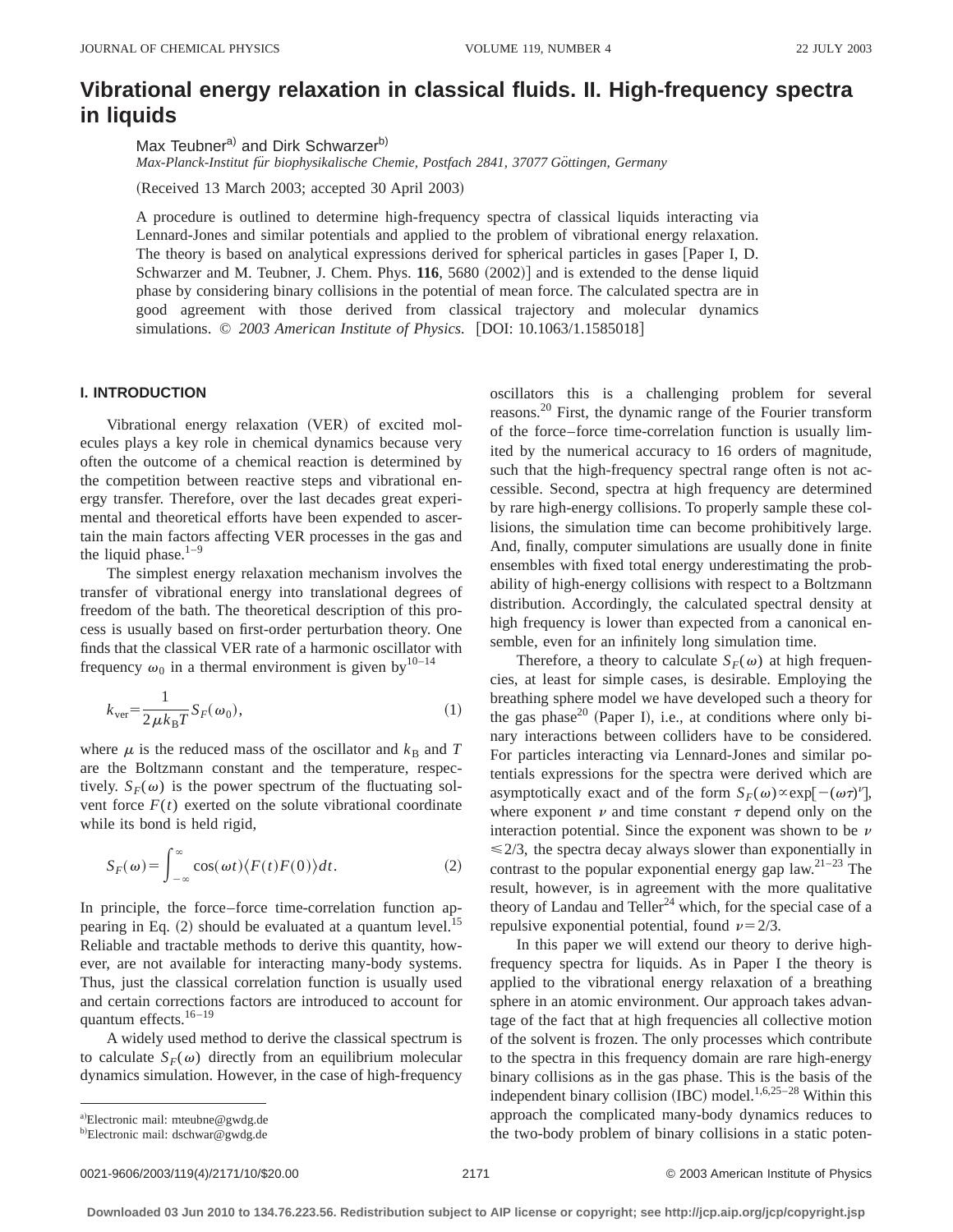# **Vibrational energy relaxation in classical fluids. II. High-frequency spectra in liquids**

Max Teubner<sup>a)</sup> and Dirk Schwarzer<sup>b)</sup>

*Max-Planck-Institut fu¨r biophysikalische Chemie, Postfach 2841, 37077 Go¨ttingen, Germany*

(Received 13 March 2003; accepted 30 April 2003)

A procedure is outlined to determine high-frequency spectra of classical liquids interacting via Lennard-Jones and similar potentials and applied to the problem of vibrational energy relaxation. The theory is based on analytical expressions derived for spherical particles in gases [Paper I, D. Schwarzer and M. Teubner, J. Chem. Phys.  $116$ ,  $5680$   $(2002)$ ] and is extended to the dense liquid phase by considering binary collisions in the potential of mean force. The calculated spectra are in good agreement with those derived from classical trajectory and molecular dynamics simulations. © 2003 American Institute of Physics. [DOI: 10.1063/1.1585018]

# **I. INTRODUCTION**

Vibrational energy relaxation (VER) of excited molecules plays a key role in chemical dynamics because very often the outcome of a chemical reaction is determined by the competition between reactive steps and vibrational energy transfer. Therefore, over the last decades great experimental and theoretical efforts have been expended to ascertain the main factors affecting VER processes in the gas and the liquid phase. $1-9$ 

The simplest energy relaxation mechanism involves the transfer of vibrational energy into translational degrees of freedom of the bath. The theoretical description of this process is usually based on first-order perturbation theory. One finds that the classical VER rate of a harmonic oscillator with frequency  $\omega_0$  in a thermal environment is given by<sup>10–14</sup>

$$
k_{\text{ver}} = \frac{1}{2\mu k_{\text{B}}T} S_F(\omega_0),\tag{1}
$$

where  $\mu$  is the reduced mass of the oscillator and  $k_B$  and *T* are the Boltzmann constant and the temperature, respectively.  $S_F(\omega)$  is the power spectrum of the fluctuating solvent force  $F(t)$  exerted on the solute vibrational coordinate while its bond is held rigid,

$$
S_F(\omega) = \int_{-\infty}^{\infty} \cos(\omega t) \langle F(t)F(0) \rangle dt.
$$
 (2)

In principle, the force–force time-correlation function appearing in Eq.  $(2)$  should be evaluated at a quantum level.<sup>15</sup> Reliable and tractable methods to derive this quantity, however, are not available for interacting many-body systems. Thus, just the classical correlation function is usually used and certain corrections factors are introduced to account for quantum effects.16–19

A widely used method to derive the classical spectrum is to calculate  $S_F(\omega)$  directly from an equilibrium molecular dynamics simulation. However, in the case of high-frequency oscillators this is a challenging problem for several reasons.20 First, the dynamic range of the Fourier transform of the force–force time-correlation function is usually limited by the numerical accuracy to 16 orders of magnitude, such that the high-frequency spectral range often is not accessible. Second, spectra at high frequency are determined by rare high-energy collisions. To properly sample these collisions, the simulation time can become prohibitively large. And, finally, computer simulations are usually done in finite ensembles with fixed total energy underestimating the probability of high-energy collisions with respect to a Boltzmann distribution. Accordingly, the calculated spectral density at high frequency is lower than expected from a canonical ensemble, even for an infinitely long simulation time.

Therefore, a theory to calculate  $S_F(\omega)$  at high frequencies, at least for simple cases, is desirable. Employing the breathing sphere model we have developed such a theory for the gas phase<sup>20</sup> (Paper I), i.e., at conditions where only binary interactions between colliders have to be considered. For particles interacting via Lennard-Jones and similar potentials expressions for the spectra were derived which are asymptotically exact and of the form  $S_F(\omega) \propto \exp[-(\omega \tau)^{\nu}]$ , where exponent  $\nu$  and time constant  $\tau$  depend only on the interaction potential. Since the exponent was shown to be  $\nu$  $\leq$  2/3, the spectra decay always slower than exponentially in contrast to the popular exponential energy gap law.<sup>21-23</sup> The result, however, is in agreement with the more qualitative theory of Landau and Teller<sup>24</sup> which, for the special case of a repulsive exponential potential, found  $\nu = 2/3$ .

In this paper we will extend our theory to derive highfrequency spectra for liquids. As in Paper I the theory is applied to the vibrational energy relaxation of a breathing sphere in an atomic environment. Our approach takes advantage of the fact that at high frequencies all collective motion of the solvent is frozen. The only processes which contribute to the spectra in this frequency domain are rare high-energy binary collisions as in the gas phase. This is the basis of the independent binary collision (IBC) model.<sup>1,6,25–28</sup> Within this approach the complicated many-body dynamics reduces to the two-body problem of binary collisions in a static poten-

a)Electronic mail: mteubne@gwdg.de

<sup>&</sup>lt;sup>b)</sup>Electronic mail: dschwar@gwdg.de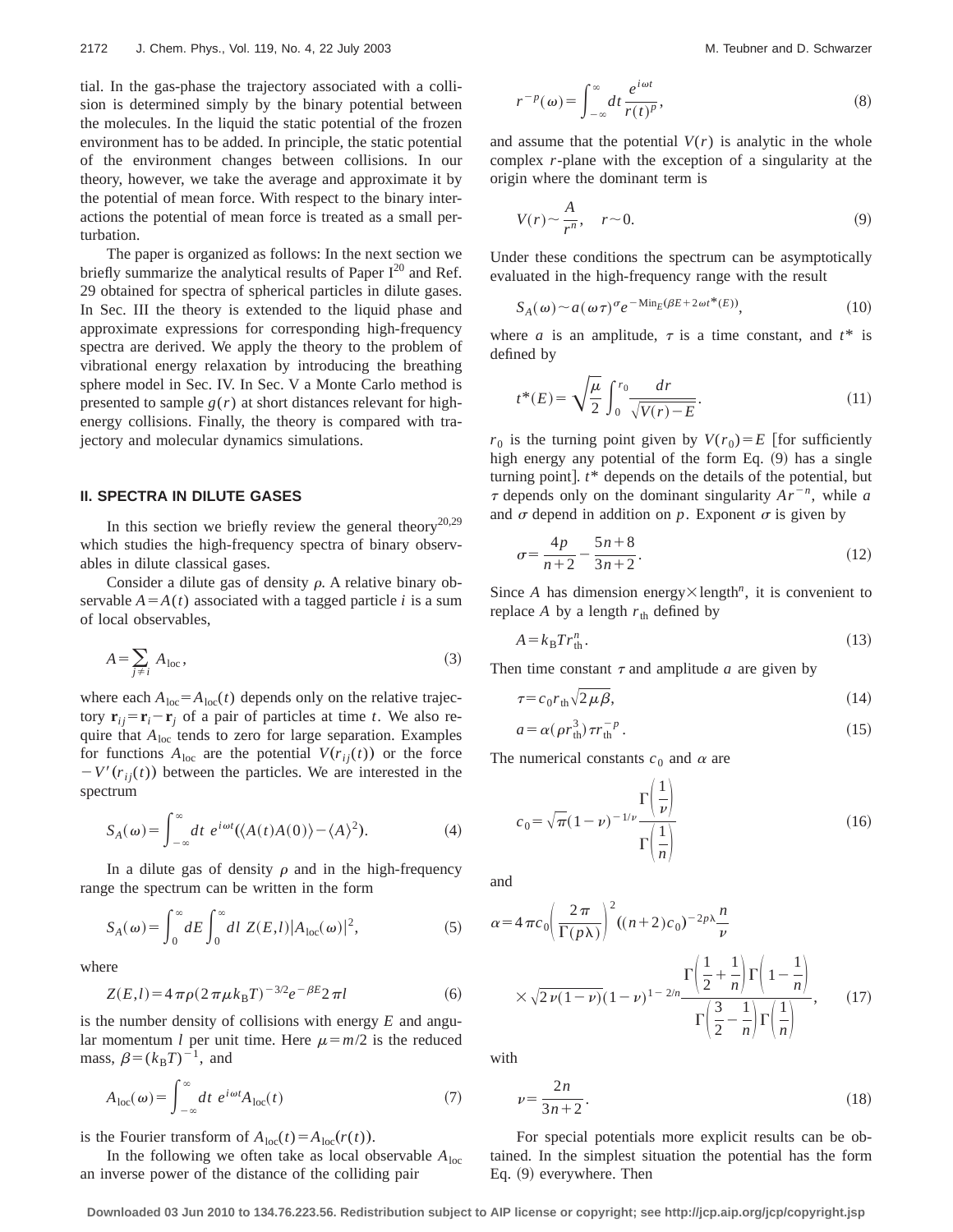tial. In the gas-phase the trajectory associated with a collision is determined simply by the binary potential between the molecules. In the liquid the static potential of the frozen environment has to be added. In principle, the static potential of the environment changes between collisions. In our theory, however, we take the average and approximate it by the potential of mean force. With respect to the binary interactions the potential of mean force is treated as a small perturbation.

The paper is organized as follows: In the next section we briefly summarize the analytical results of Paper  $I^{20}$  and Ref. 29 obtained for spectra of spherical particles in dilute gases. In Sec. III the theory is extended to the liquid phase and approximate expressions for corresponding high-frequency spectra are derived. We apply the theory to the problem of vibrational energy relaxation by introducing the breathing sphere model in Sec. IV. In Sec. V a Monte Carlo method is presented to sample  $g(r)$  at short distances relevant for highenergy collisions. Finally, the theory is compared with trajectory and molecular dynamics simulations.

### **II. SPECTRA IN DILUTE GASES**

In this section we briefly review the general theory<sup>20,29</sup> which studies the high-frequency spectra of binary observables in dilute classical gases.

Consider a dilute gas of density  $\rho$ . A relative binary observable  $A = A(t)$  associated with a tagged particle *i* is a sum of local observables,

$$
A = \sum_{j \neq i} A_{loc},\tag{3}
$$

where each  $A_{\text{loc}} = A_{\text{loc}}(t)$  depends only on the relative trajectory  $\mathbf{r}_{ij} = \mathbf{r}_i - \mathbf{r}_j$  of a pair of particles at time *t*. We also require that *A*<sub>loc</sub> tends to zero for large separation. Examples for functions  $A_{loc}$  are the potential  $V(r_{ij}(t))$  or the force  $-V'(r_{ii}(t))$  between the particles. We are interested in the spectrum

$$
S_A(\omega) = \int_{-\infty}^{\infty} dt \ e^{i\omega t} (\langle A(t)A(0) \rangle - \langle A \rangle^2). \tag{4}
$$

In a dilute gas of density  $\rho$  and in the high-frequency range the spectrum can be written in the form

$$
S_A(\omega) = \int_0^\infty dE \int_0^\infty dl \ Z(E,l) |A_{loc}(\omega)|^2,
$$
 (5)

where

$$
Z(E,l) = 4 \pi \rho (2 \pi \mu k_B T)^{-3/2} e^{-\beta E} 2 \pi l \tag{6}
$$

is the number density of collisions with energy *E* and angular momentum *l* per unit time. Here  $\mu = m/2$  is the reduced mass,  $\beta = (k_B T)^{-1}$ , and

$$
A_{\rm loc}(\omega) = \int_{-\infty}^{\infty} dt \ e^{i\omega t} A_{\rm loc}(t) \tag{7}
$$

is the Fourier transform of  $A_{loc}(t) = A_{loc}(r(t))$ .

In the following we often take as local observable  $A_{loc}$ an inverse power of the distance of the colliding pair

$$
r^{-p}(\omega) = \int_{-\infty}^{\infty} dt \frac{e^{i\omega t}}{r(t)^p},
$$
\n(8)

and assume that the potential  $V(r)$  is analytic in the whole complex *r*-plane with the exception of a singularity at the origin where the dominant term is

$$
V(r) \sim \frac{A}{r^n}, \quad r \sim 0. \tag{9}
$$

Under these conditions the spectrum can be asymptotically evaluated in the high-frequency range with the result

$$
S_A(\omega) \sim a(\omega \tau)^\sigma e^{-\text{Min}_E(\beta E + 2\omega t^*(E))},\tag{10}
$$

where *a* is an amplitude,  $\tau$  is a time constant, and  $t^*$  is defined by

$$
t^*(E) = \sqrt{\frac{\mu}{2}} \int_0^{r_0} \frac{dr}{\sqrt{V(r) - E}}.
$$
 (11)

 $r_0$  is the turning point given by  $V(r_0) = E$  [for sufficiently high energy any potential of the form Eq.  $(9)$  has a single turning point].  $t^*$  depends on the details of the potential, but  $\tau$  depends only on the dominant singularity  $Ar^{-n}$ , while *a* and  $\sigma$  depend in addition on  $p$ . Exponent  $\sigma$  is given by

$$
\sigma = \frac{4p}{n+2} - \frac{5n+8}{3n+2}.\tag{12}
$$

Since *A* has dimension energy $\times$  length<sup>n</sup>, it is convenient to replace *A* by a length  $r_{\text{th}}$  defined by

$$
A = k_{\rm B} Tr_{\rm th}^n. \tag{13}
$$

Then time constant  $\tau$  and amplitude  $a$  are given by

$$
\tau = c_0 r_{\text{th}} \sqrt{2\mu \beta},\tag{14}
$$

$$
a = \alpha(\rho r_{\rm th}^3) \tau r_{\rm th}^{-p} \,. \tag{15}
$$

The numerical constants  $c_0$  and  $\alpha$  are

$$
c_0 = \sqrt{\pi} (1 - \nu)^{-1/\nu} \frac{\Gamma\left(\frac{1}{\nu}\right)}{\Gamma\left(\frac{1}{n}\right)}
$$
(16)

and

$$
\alpha = 4 \pi c_0 \left(\frac{2\pi}{\Gamma(p\lambda)}\right)^2 \left((n+2)c_0\right)^{-2p\lambda} \frac{n}{\nu}
$$

$$
\times \sqrt{2\nu(1-\nu)} (1-\nu)^{1-2/n} \frac{\Gamma\left(\frac{1}{2}+\frac{1}{n}\right) \Gamma\left(1-\frac{1}{n}\right)}{\Gamma\left(\frac{3}{2}-\frac{1}{n}\right) \Gamma\left(\frac{1}{n}\right)},\qquad(17)
$$

with

$$
\nu = \frac{2n}{3n+2}.\tag{18}
$$

For special potentials more explicit results can be obtained. In the simplest situation the potential has the form Eq.  $(9)$  everywhere. Then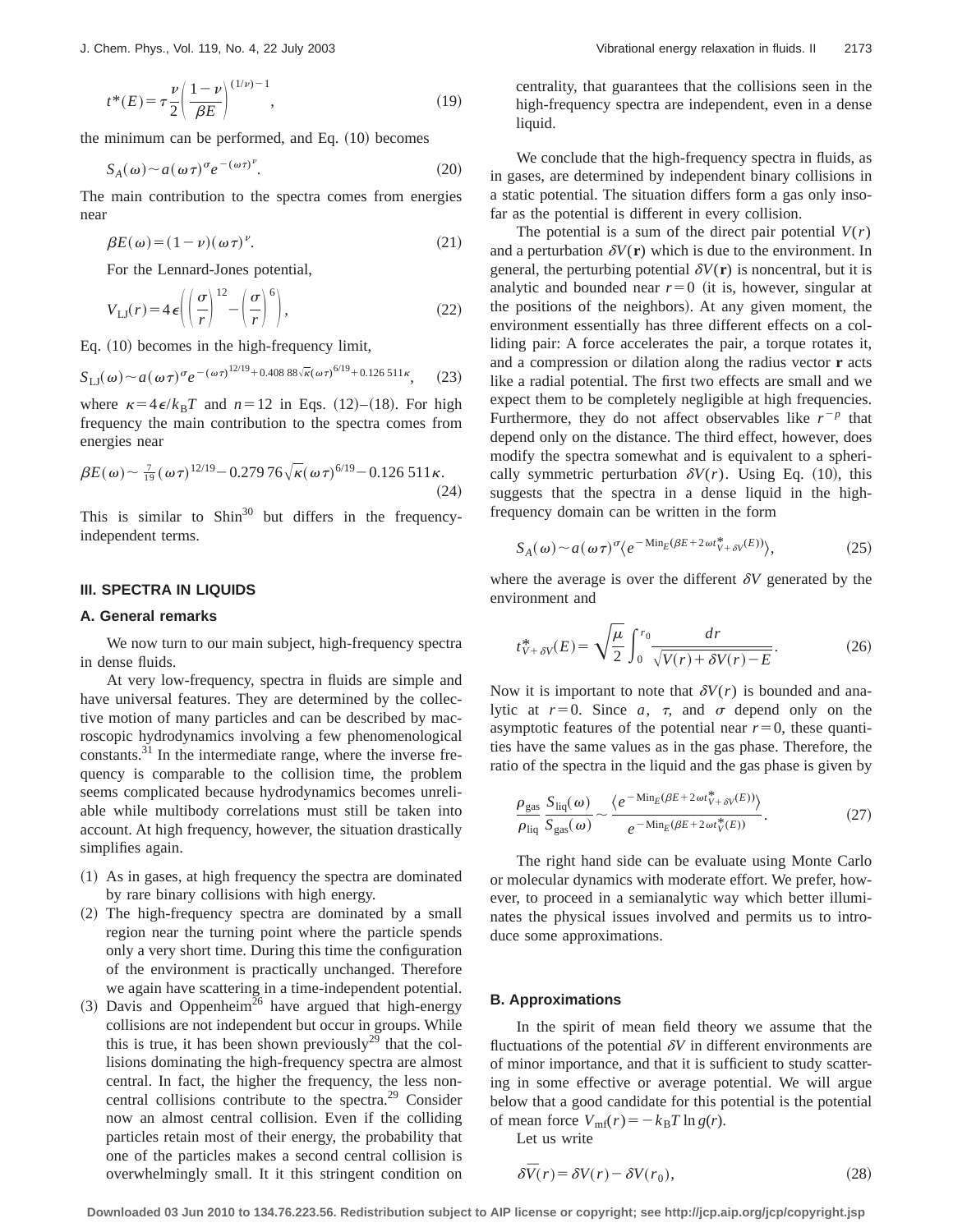$$
t^*(E) = \tau \frac{\nu}{2} \left( \frac{1 - \nu}{\beta E} \right)^{(1/\nu) - 1},\tag{19}
$$

the minimum can be performed, and Eq.  $(10)$  becomes

$$
S_A(\omega) \sim a(\omega \tau)^{\sigma} e^{-(\omega \tau)^{\nu}}.
$$
 (20)

The main contribution to the spectra comes from energies near

$$
\beta E(\omega) = (1 - \nu)(\omega \tau)^{\nu}.
$$
 (21)

For the Lennard-Jones potential,

$$
V_{\text{LJ}}(r) = 4\,\epsilon \left( \left( \frac{\sigma}{r} \right)^{12} - \left( \frac{\sigma}{r} \right)^6 \right),\tag{22}
$$

Eq.  $(10)$  becomes in the high-frequency limit,

$$
S_{\text{LI}}(\omega) \sim a(\omega \tau)^{\sigma} e^{-(\omega \tau)^{12/19} + 0.40888\sqrt{\kappa}(\omega \tau)^{6/19} + 0.126511\kappa}, \quad (23)
$$

where  $\kappa = 4 \epsilon/k_B T$  and  $n=12$  in Eqs. (12)–(18). For high frequency the main contribution to the spectra comes from energies near

$$
\beta E(\omega) \sim \frac{7}{19} (\omega \tau)^{12/19} - 0.27976 \sqrt{\kappa} (\omega \tau)^{6/19} - 0.126511 \kappa. \tag{24}
$$

This is similar to  $\sin^{30}$  but differs in the frequencyindependent terms.

## **III. SPECTRA IN LIQUIDS**

### **A. General remarks**

We now turn to our main subject, high-frequency spectra in dense fluids.

At very low-frequency, spectra in fluids are simple and have universal features. They are determined by the collective motion of many particles and can be described by macroscopic hydrodynamics involving a few phenomenological constants.<sup>31</sup> In the intermediate range, where the inverse frequency is comparable to the collision time, the problem seems complicated because hydrodynamics becomes unreliable while multibody correlations must still be taken into account. At high frequency, however, the situation drastically simplifies again.

- $(1)$  As in gases, at high frequency the spectra are dominated by rare binary collisions with high energy.
- $(2)$  The high-frequency spectra are dominated by a small region near the turning point where the particle spends only a very short time. During this time the configuration of the environment is practically unchanged. Therefore we again have scattering in a time-independent potential.
- $(3)$  Davis and Oppenheim<sup>26</sup> have argued that high-energy collisions are not independent but occur in groups. While this is true, it has been shown previously<sup>29</sup> that the collisions dominating the high-frequency spectra are almost central. In fact, the higher the frequency, the less noncentral collisions contribute to the spectra.29 Consider now an almost central collision. Even if the colliding particles retain most of their energy, the probability that one of the particles makes a second central collision is overwhelmingly small. It it this stringent condition on

centrality, that guarantees that the collisions seen in the high-frequency spectra are independent, even in a dense liquid.

We conclude that the high-frequency spectra in fluids, as in gases, are determined by independent binary collisions in a static potential. The situation differs form a gas only insofar as the potential is different in every collision.

The potential is a sum of the direct pair potential  $V(r)$ and a perturbation  $\delta V(\mathbf{r})$  which is due to the environment. In general, the perturbing potential  $\delta V(\mathbf{r})$  is noncentral, but it is analytic and bounded near  $r=0$  (it is, however, singular at the positions of the neighbors). At any given moment, the environment essentially has three different effects on a colliding pair: A force accelerates the pair, a torque rotates it, and a compression or dilation along the radius vector **r** acts like a radial potential. The first two effects are small and we expect them to be completely negligible at high frequencies. Furthermore, they do not affect observables like  $r^{-p}$  that depend only on the distance. The third effect, however, does modify the spectra somewhat and is equivalent to a spherically symmetric perturbation  $\delta V(r)$ . Using Eq. (10), this suggests that the spectra in a dense liquid in the highfrequency domain can be written in the form

$$
S_A(\omega) \sim a(\omega \tau)^{\sigma} \langle e^{-\text{Min}_E(\beta E + 2\omega t_{V+\delta V}^*(E))} \rangle, \tag{25}
$$

where the average is over the different  $\delta V$  generated by the environment and

$$
t_{V+\delta V}^* (E) = \sqrt{\frac{\mu}{2}} \int_0^{r_0} \frac{dr}{\sqrt{V(r) + \delta V(r) - E}}.
$$
 (26)

Now it is important to note that  $\delta V(r)$  is bounded and analytic at  $r=0$ . Since  $a, \tau$ , and  $\sigma$  depend only on the asymptotic features of the potential near  $r=0$ , these quantities have the same values as in the gas phase. Therefore, the ratio of the spectra in the liquid and the gas phase is given by

$$
\frac{\rho_{\rm gas}}{\rho_{\rm liq}} \frac{S_{\rm liq}(\omega)}{S_{\rm gas}(\omega)} \sim \frac{\langle e^{-\text{Min}_E(\beta E + 2\omega t_V^* + \delta V^{(E)})} \rangle}{e^{-\text{Min}_E(\beta E + 2\omega t_V^*(E))}}.
$$
(27)

The right hand side can be evaluate using Monte Carlo or molecular dynamics with moderate effort. We prefer, however, to proceed in a semianalytic way which better illuminates the physical issues involved and permits us to introduce some approximations.

#### **B. Approximations**

In the spirit of mean field theory we assume that the fluctuations of the potential  $\delta V$  in different environments are of minor importance, and that it is sufficient to study scattering in some effective or average potential. We will argue below that a good candidate for this potential is the potential of mean force  $V_{\text{mf}}(r) = -k_B T \ln g(r)$ .

Let us write

$$
\delta \bar{V}(r) = \delta V(r) - \delta V(r_0),\tag{28}
$$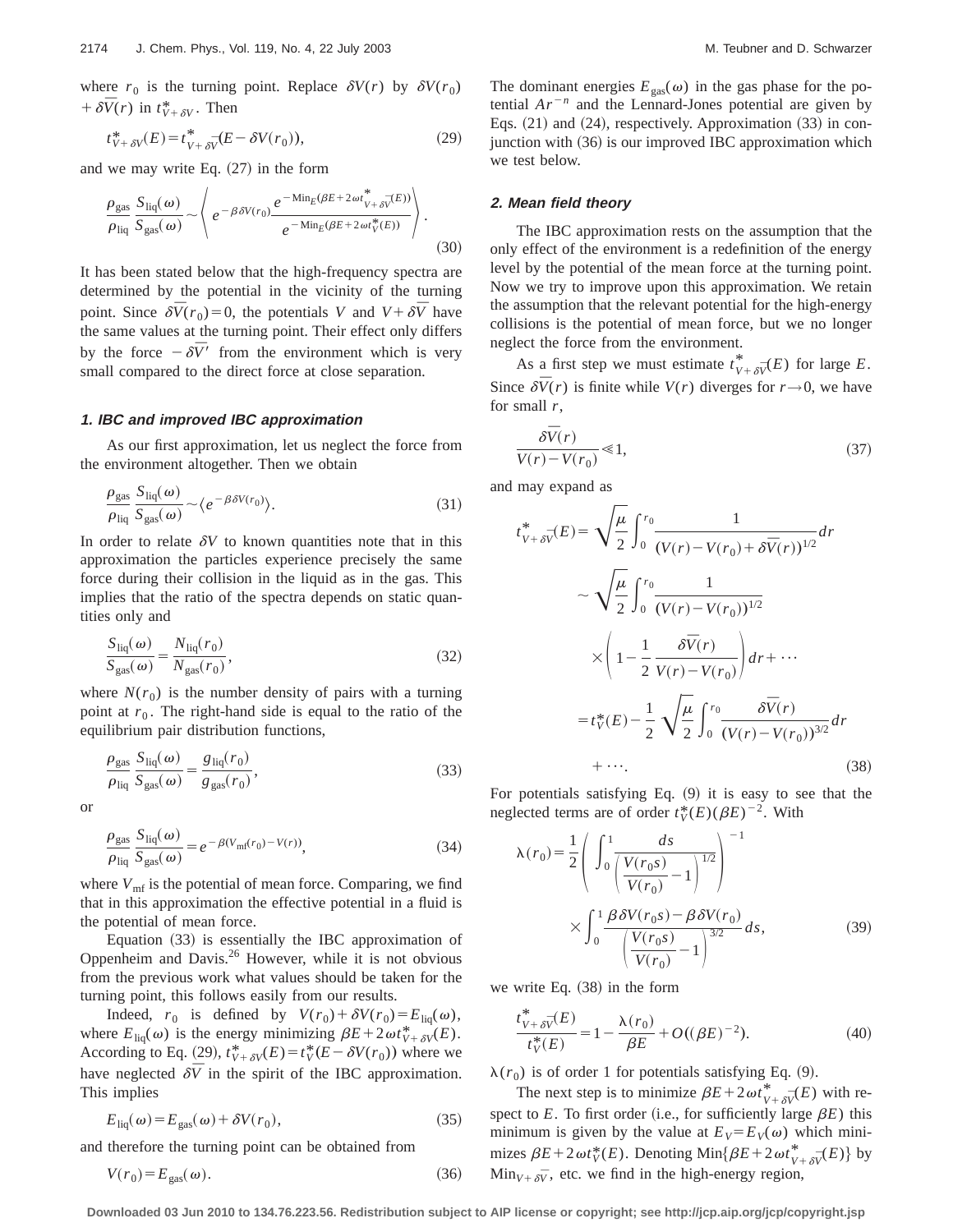where  $r_0$  is the turning point. Replace  $\delta V(r)$  by  $\delta V(r_0)$  $+\delta \bar{V}(r)$  in  $t_{V+\delta V}^*$ . Then

$$
t_{V+\delta V}^*(E) = t_{V+\delta V}^* (E - \delta V(r_0)),\tag{29}
$$

and we may write Eq.  $(27)$  in the form

$$
\frac{\rho_{\rm gas}}{\rho_{\rm liq}} \frac{S_{\rm liq}(\omega)}{S_{\rm gas}(\omega)} \sim \left\langle e^{-\beta \delta V(r_0)} \frac{e^{-\rm Min_E(\beta E + 2\omega t_{V+\delta V}^* (E))}}{e^{-\rm Min_E(\beta E + 2\omega t_V^* (E))}} \right\rangle.
$$
\n(30)

It has been stated below that the high-frequency spectra are determined by the potential in the vicinity of the turning point. Since  $\delta \bar{V}(r_0) = 0$ , the potentials *V* and  $V + \delta \bar{V}$  have the same values at the turning point. Their effect only differs by the force  $-\delta \bar{V}$  from the environment which is very small compared to the direct force at close separation.

### **1. IBC and improved IBC approximation**

As our first approximation, let us neglect the force from the environment altogether. Then we obtain

$$
\frac{\rho_{\rm gas}}{\rho_{\rm liq}} \frac{S_{\rm liq}(\omega)}{S_{\rm gas}(\omega)} \sim \langle e^{-\beta \delta V(r_0)} \rangle.
$$
 (31)

In order to relate  $\delta V$  to known quantities note that in this approximation the particles experience precisely the same force during their collision in the liquid as in the gas. This implies that the ratio of the spectra depends on static quantities only and

$$
\frac{S_{\text{liq}}(\omega)}{S_{\text{gas}}(\omega)} = \frac{N_{\text{liq}}(r_0)}{N_{\text{gas}}(r_0)},
$$
\n(32)

where  $N(r_0)$  is the number density of pairs with a turning point at  $r_0$ . The right-hand side is equal to the ratio of the equilibrium pair distribution functions,

$$
\frac{\rho_{\rm gas}}{\rho_{\rm liq}} \frac{S_{\rm liq}(\omega)}{S_{\rm gas}(\omega)} = \frac{g_{\rm liq}(r_0)}{g_{\rm gas}(r_0)},\tag{33}
$$

or

$$
\frac{\rho_{\text{gas}}}{\rho_{\text{liq}}} \frac{S_{\text{liq}}(\omega)}{S_{\text{gas}}(\omega)} = e^{-\beta (V_{\text{mf}}(r_0) - V(r))},\tag{34}
$$

where  $V_{\text{mf}}$  is the potential of mean force. Comparing, we find that in this approximation the effective potential in a fluid is the potential of mean force.

Equation  $(33)$  is essentially the IBC approximation of Oppenheim and Davis.26 However, while it is not obvious from the previous work what values should be taken for the turning point, this follows easily from our results.

Indeed,  $r_0$  is defined by  $V(r_0) + \delta V(r_0) = E_{\text{liq}}(\omega)$ , where  $E_{\text{liq}}(\omega)$  is the energy minimizing  $\beta E + 2\omega t_{V+\delta V}^*(E)$ . According to Eq. (29),  $t_{V+\delta V}^*(E) = t_V^*(E - \delta V(r_0))$  where we have neglected  $\delta \bar{V}$  in the spirit of the IBC approximation. This implies

$$
E_{\text{liq}}(\omega) = E_{\text{gas}}(\omega) + \delta V(r_0),\tag{35}
$$

and therefore the turning point can be obtained from

$$
V(r_0) = E_{\text{gas}}(\omega). \tag{36}
$$

The dominant energies  $E_{\text{gas}}(\omega)$  in the gas phase for the potential  $Ar^{-n}$  and the Lennard-Jones potential are given by Eqs.  $(21)$  and  $(24)$ , respectively. Approximation  $(33)$  in conjunction with  $(36)$  is our improved IBC approximation which we test below.

#### **2. Mean field theory**

The IBC approximation rests on the assumption that the only effect of the environment is a redefinition of the energy level by the potential of the mean force at the turning point. Now we try to improve upon this approximation. We retain the assumption that the relevant potential for the high-energy collisions is the potential of mean force, but we no longer neglect the force from the environment.

As a first step we must estimate  $t^*_{V+\delta V}(E)$  for large *E*. Since  $\delta \bar{V}(r)$  is finite while  $V(r)$  diverges for  $r \rightarrow 0$ , we have for small *r*,

$$
\frac{\delta \bar{V}(r)}{V(r) - V(r_0)} \ll 1,\tag{37}
$$

and may expand as

$$
t_{V+\delta\bar{V}}^{*}(E) = \sqrt{\frac{\mu}{2}} \int_{0}^{r_{0}} \frac{1}{(V(r) - V(r_{0}) + \delta\bar{V}(r))^{1/2}} dr
$$
  

$$
\sim \sqrt{\frac{\mu}{2}} \int_{0}^{r_{0}} \frac{1}{(V(r) - V(r_{0}))^{1/2}}
$$
  

$$
\times \left(1 - \frac{1}{2} \frac{\delta\bar{V}(r)}{V(r) - V(r_{0})}\right) dr + \cdots
$$
  

$$
= t_{V}^{*}(E) - \frac{1}{2} \sqrt{\frac{\mu}{2}} \int_{0}^{r_{0}} \frac{\delta\bar{V}(r)}{(V(r) - V(r_{0}))^{3/2}} dr
$$
  

$$
+ \cdots.
$$
 (38)

For potentials satisfying Eq.  $(9)$  it is easy to see that the neglected terms are of order  $t_V^*(E)(\beta E)^{-2}$ . With

$$
\lambda(r_0) = \frac{1}{2} \left( \int_0^1 \frac{ds}{\left( \frac{V(r_0 s)}{V(r_0)} - 1 \right)^{1/2}} \right)^{-1}
$$

$$
\times \int_0^1 \frac{\beta \delta V(r_0 s) - \beta \delta V(r_0)}{\left( \frac{V(r_0 s)}{V(r_0)} - 1 \right)^{3/2}} ds,
$$
(39)

we write Eq.  $(38)$  in the form

$$
\frac{t_{V+\delta V}^*(E)}{t_V^*(E)} = 1 - \frac{\lambda(r_0)}{\beta E} + O((\beta E)^{-2}).
$$
\n(40)

 $\lambda(r_0)$  is of order 1 for potentials satisfying Eq. (9).

The next step is to minimize  $\beta E + 2\omega t_{V+\delta V}^*(E)$  with respect to  $E$ . To first order (i.e., for sufficiently large  $\beta E$ ) this minimum is given by the value at  $E_V = E_V(\omega)$  which minimizes  $\beta E + 2\omega t_V^*(E)$ . Denoting Min $\{\beta E + 2\omega t_{V+\delta V}^*(E)\}\$  by  $\text{Min}_{V + \delta V}$ , etc. we find in the high-energy region,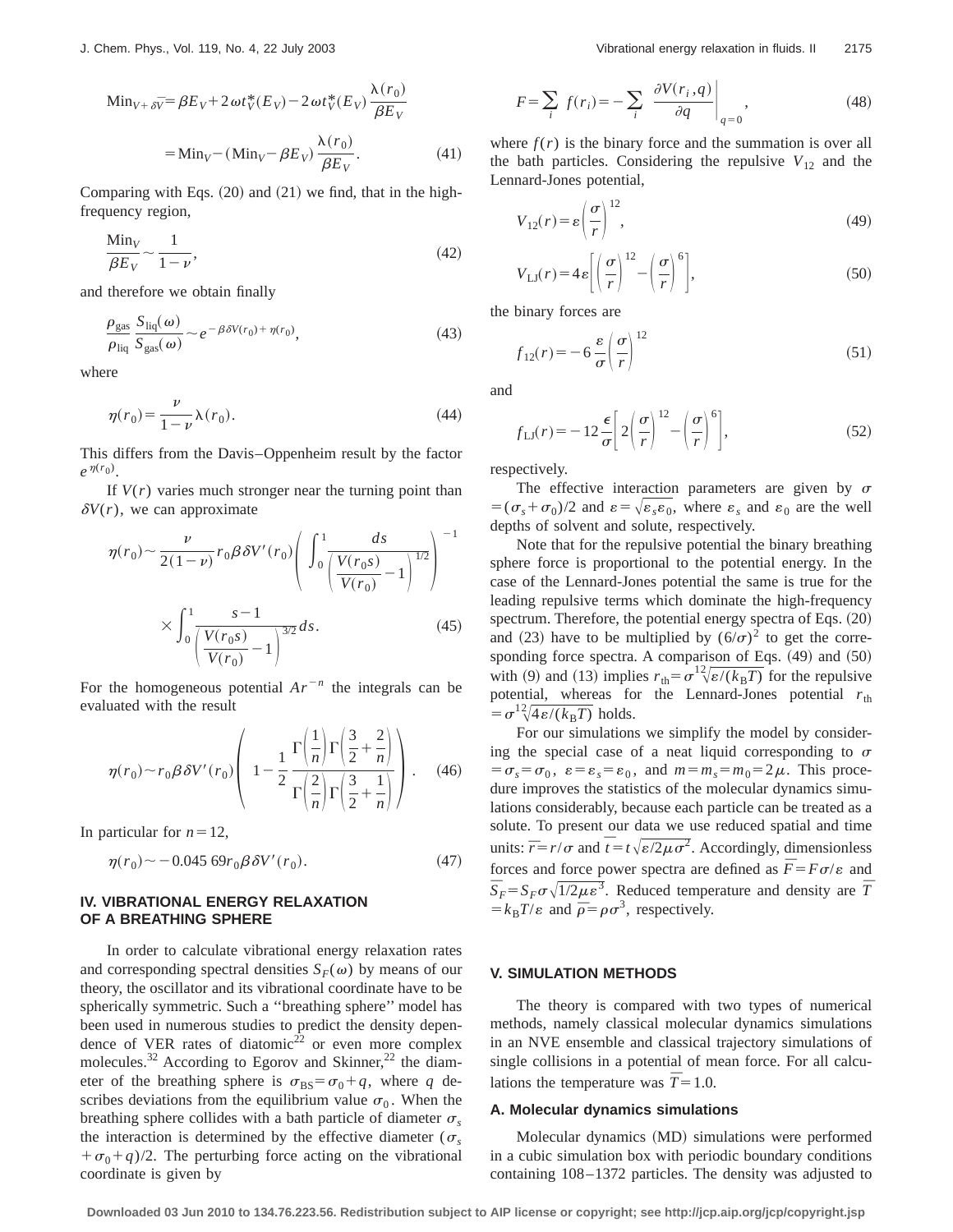$$
\begin{aligned} \text{Min}_{V+\delta V} &= \beta E_V + 2\,\omega t_V^*(E_V) - 2\,\omega t_V^*(E_V) \,\frac{\lambda(r_0)}{\beta E_V} \\ &= \text{Min}_V - (\text{Min}_V - \beta E_V) \,\frac{\lambda(r_0)}{\beta E_V} .\end{aligned} \tag{41}
$$

Comparing with Eqs.  $(20)$  and  $(21)$  we find, that in the highfrequency region,

$$
\frac{\text{Min}_V}{\beta E_V} \sim \frac{1}{1 - \nu},\tag{42}
$$

and therefore we obtain finally

$$
\frac{\rho_{\rm gas}}{\rho_{\rm liq}} \frac{S_{\rm liq}(\omega)}{S_{\rm gas}(\omega)} \sim e^{-\beta \delta V(r_0) + \eta(r_0)},\tag{43}
$$

where

$$
\eta(r_0) = \frac{\nu}{1 - \nu} \lambda(r_0). \tag{44}
$$

This differs from the Davis–Oppenheim result by the factor  $e^{\eta(r_0)}$ .

If  $V(r)$  varies much stronger near the turning point than  $\delta V(r)$ , we can approximate

$$
\eta(r_0) \sim \frac{\nu}{2(1-\nu)} r_0 \beta \delta V'(r_0) \left( \int_0^1 \frac{ds}{\left( \frac{V(r_0 s)}{V(r_0)} - 1 \right)^{1/2}} \right)^{-1}
$$

$$
\times \int_0^1 \frac{s-1}{\left( \frac{V(r_0 s)}{V(r_0)} - 1 \right)^{3/2}} ds.
$$
(45)

For the homogeneous potential  $Ar^{-n}$  the integrals can be evaluated with the result

$$
\eta(r_0) \sim r_0 \beta \delta V'(r_0) \left( 1 - \frac{1}{2} \frac{\Gamma\left(\frac{1}{n}\right) \Gamma\left(\frac{3}{2} + \frac{2}{n}\right)}{\Gamma\left(\frac{2}{n}\right) \Gamma\left(\frac{3}{2} + \frac{1}{n}\right)} \right). \quad (46)
$$

In particular for  $n=12$ ,

$$
\eta(r_0) \sim -0.045 \, 69 r_0 \beta \, \delta V'(r_0). \tag{47}
$$

# **IV. VIBRATIONAL ENERGY RELAXATION OF A BREATHING SPHERE**

In order to calculate vibrational energy relaxation rates and corresponding spectral densities  $S_F(\omega)$  by means of our theory, the oscillator and its vibrational coordinate have to be spherically symmetric. Such a ''breathing sphere'' model has been used in numerous studies to predict the density dependence of VER rates of diatomic<sup>22</sup> or even more complex molecules.<sup>32</sup> According to Egorov and Skinner,<sup>22</sup> the diameter of the breathing sphere is  $\sigma_{BS} = \sigma_0 + q$ , where *q* describes deviations from the equilibrium value  $\sigma_0$ . When the breathing sphere collides with a bath particle of diameter  $\sigma_s$ the interaction is determined by the effective diameter ( $\sigma_s$  $+\sigma_0+q/2$ . The perturbing force acting on the vibrational coordinate is given by

$$
F = \sum_{i} f(r_i) = -\sum_{i} \left. \frac{\partial V(r_i, q)}{\partial q} \right|_{q=0},\tag{48}
$$

where  $f(r)$  is the binary force and the summation is over all the bath particles. Considering the repulsive  $V_{12}$  and the Lennard-Jones potential,

$$
V_{12}(r) = \varepsilon \left(\frac{\sigma}{r}\right)^{12},\tag{49}
$$

$$
V_{\text{LJ}}(r) = 4\varepsilon \left[ \left( \frac{\sigma}{r} \right)^{12} - \left( \frac{\sigma}{r} \right)^{6} \right],\tag{50}
$$

the binary forces are

$$
f_{12}(r) = -6 \frac{\varepsilon}{\sigma} \left(\frac{\sigma}{r}\right)^{12} \tag{51}
$$

and

$$
f_{\text{LJ}}(r) = -12 \frac{\epsilon}{\sigma} \left[ 2 \left( \frac{\sigma}{r} \right)^{12} - \left( \frac{\sigma}{r} \right)^6 \right],\tag{52}
$$

respectively.

The effective interaction parameters are given by  $\sigma$  $=({\sigma<sub>s</sub> + \sigma<sub>0</sub>)/2$  and  $\varepsilon = \sqrt{\varepsilon<sub>s</sub> \varepsilon<sub>0</sub>}$ , where  $\varepsilon<sub>s</sub>$  and  $\varepsilon<sub>0</sub>$  are the well depths of solvent and solute, respectively.

Note that for the repulsive potential the binary breathing sphere force is proportional to the potential energy. In the case of the Lennard-Jones potential the same is true for the leading repulsive terms which dominate the high-frequency spectrum. Therefore, the potential energy spectra of Eqs.  $(20)$ and (23) have to be multiplied by  $(6/\sigma)^2$  to get the corresponding force spectra. A comparison of Eqs. (49) and (50) with (9) and (13) implies  $r_{\text{th}} = \sigma^1 \sqrt[2]{\epsilon/(k_{\text{B}}T)}$  for the repulsive potential, whereas for the Lennard-Jones potential  $r_{\text{th}}$  $= \sigma^2 \sqrt{4\epsilon/(k_B T)}$  holds.

For our simulations we simplify the model by considering the special case of a neat liquid corresponding to  $\sigma$  $= \sigma_s = \sigma_0$ ,  $\varepsilon = \varepsilon_s = \varepsilon_0$ , and  $m = m_s = m_0 = 2 \mu$ . This procedure improves the statistics of the molecular dynamics simulations considerably, because each particle can be treated as a solute. To present our data we use reduced spatial and time units:  $\overline{r} = r/\sigma$  and  $\overline{t} = t\sqrt{\varepsilon/2\mu\sigma^2}$ . Accordingly, dimensionless forces and force power spectra are defined as  $\overline{F} = F\sigma/\varepsilon$  and  $\overline{S}_F = S_F \sigma \sqrt{1/2\mu \varepsilon^3}$ . Reduced temperature and density are  $\overline{T}$  $=k_B T/\varepsilon$  and  $\bar{\rho} = \rho \sigma^3$ , respectively.

#### **V. SIMULATION METHODS**

The theory is compared with two types of numerical methods, namely classical molecular dynamics simulations in an NVE ensemble and classical trajectory simulations of single collisions in a potential of mean force. For all calculations the temperature was  $\bar{T} = 1.0$ .

#### **A. Molecular dynamics simulations**

Molecular dynamics (MD) simulations were performed in a cubic simulation box with periodic boundary conditions containing 108–1372 particles. The density was adjusted to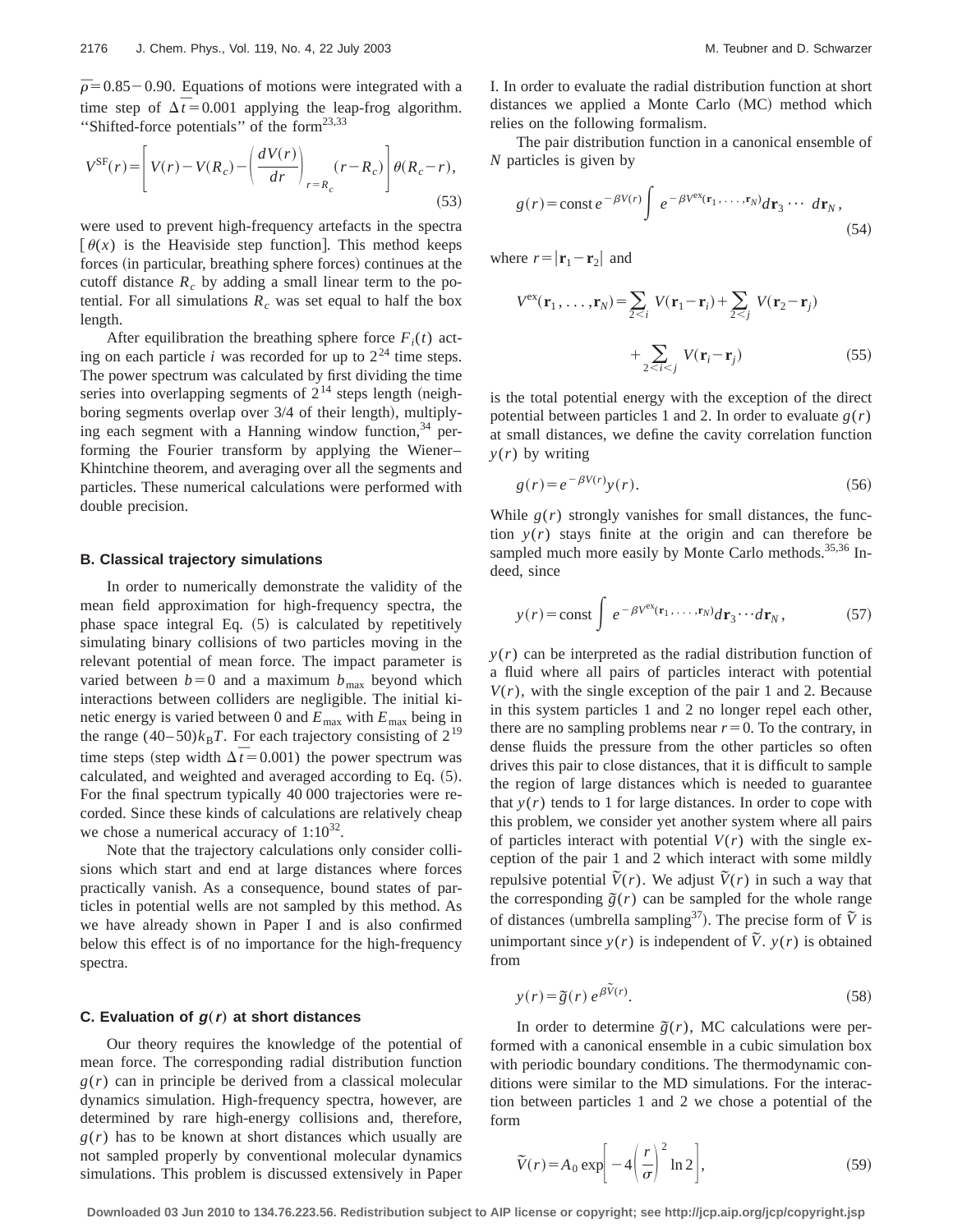$\bar{p}$ =0.85 – 0.90. Equations of motions were integrated with a time step of  $\Delta \bar{t} = 0.001$  applying the leap-frog algorithm. ''Shifted-force potentials'' of the form23,33

$$
V^{\rm SF}(r) = \left[ V(r) - V(R_c) - \left( \frac{dV(r)}{dr} \right)_{r=R_c} (r - R_c) \right] \theta(R_c - r),\tag{53}
$$

were used to prevent high-frequency artefacts in the spectra  $\lceil \theta(x) \rceil$  is the Heaviside step function. This method keeps forces (in particular, breathing sphere forces) continues at the cutoff distance  $R_c$  by adding a small linear term to the potential. For all simulations  $R_c$  was set equal to half the box length.

After equilibration the breathing sphere force  $F_i(t)$  acting on each particle *i* was recorded for up to  $2^{24}$  time steps. The power spectrum was calculated by first dividing the time series into overlapping segments of  $2^{14}$  steps length (neighboring segments overlap over  $3/4$  of their length), multiplying each segment with a Hanning window function,  $34$  performing the Fourier transform by applying the Wiener– Khintchine theorem, and averaging over all the segments and particles. These numerical calculations were performed with double precision.

# **B. Classical trajectory simulations**

In order to numerically demonstrate the validity of the mean field approximation for high-frequency spectra, the phase space integral Eq.  $(5)$  is calculated by repetitively simulating binary collisions of two particles moving in the relevant potential of mean force. The impact parameter is varied between  $b=0$  and a maximum  $b_{\text{max}}$  beyond which interactions between colliders are negligible. The initial kinetic energy is varied between 0 and *E*max with *E*max being in the range  $(40-50)k_BT$ . For each trajectory consisting of  $2^{19}$ time steps (step width  $\Delta \bar{t}$  = 0.001) the power spectrum was calculated, and weighted and averaged according to Eq.  $(5)$ . For the final spectrum typically 40 000 trajectories were recorded. Since these kinds of calculations are relatively cheap we chose a numerical accuracy of  $1:10^{32}$ .

Note that the trajectory calculations only consider collisions which start and end at large distances where forces practically vanish. As a consequence, bound states of particles in potential wells are not sampled by this method. As we have already shown in Paper I and is also confirmed below this effect is of no importance for the high-frequency spectra.

#### **C.** Evaluation of  $g(r)$  at short distances

Our theory requires the knowledge of the potential of mean force. The corresponding radial distribution function  $g(r)$  can in principle be derived from a classical molecular dynamics simulation. High-frequency spectra, however, are determined by rare high-energy collisions and, therefore,  $g(r)$  has to be known at short distances which usually are not sampled properly by conventional molecular dynamics simulations. This problem is discussed extensively in Paper I. In order to evaluate the radial distribution function at short distances we applied a Monte Carlo (MC) method which relies on the following formalism.

The pair distribution function in a canonical ensemble of *N* particles is given by

$$
g(r) = \text{const } e^{-\beta V(r)} \int e^{-\beta V^{ex}(\mathbf{r}_1, \dots, \mathbf{r}_N)} d\mathbf{r}_3 \cdots d\mathbf{r}_N,
$$
\n(54)

where  $r = |\mathbf{r}_1 - \mathbf{r}_2|$  and

$$
V^{\text{ex}}(\mathbf{r}_1, \dots, \mathbf{r}_N) = \sum_{2 < i} V(\mathbf{r}_1 - \mathbf{r}_i) + \sum_{2 < j} V(\mathbf{r}_2 - \mathbf{r}_j)
$$
\n
$$
+ \sum_{2 < i < j} V(\mathbf{r}_i - \mathbf{r}_j) \tag{55}
$$

is the total potential energy with the exception of the direct potential between particles 1 and 2. In order to evaluate  $g(r)$ at small distances, we define the cavity correlation function  $y(r)$  by writing

$$
g(r) = e^{-\beta V(r)} y(r). \tag{56}
$$

While  $g(r)$  strongly vanishes for small distances, the function  $y(r)$  stays finite at the origin and can therefore be sampled much more easily by Monte Carlo methods.<sup>35,36</sup> Indeed, since

$$
y(r) = \text{const} \int e^{-\beta V^{\text{ex}}(\mathbf{r}_1, \dots, \mathbf{r}_N)} d\mathbf{r}_3 \cdots d\mathbf{r}_N, \tag{57}
$$

 $y(r)$  can be interpreted as the radial distribution function of a fluid where all pairs of particles interact with potential  $V(r)$ , with the single exception of the pair 1 and 2. Because in this system particles 1 and 2 no longer repel each other, there are no sampling problems near  $r=0$ . To the contrary, in dense fluids the pressure from the other particles so often drives this pair to close distances, that it is difficult to sample the region of large distances which is needed to guarantee that  $y(r)$  tends to 1 for large distances. In order to cope with this problem, we consider yet another system where all pairs of particles interact with potential  $V(r)$  with the single exception of the pair 1 and 2 which interact with some mildly repulsive potential  $\tilde{V}(r)$ . We adjust  $\tilde{V}(r)$  in such a way that the corresponding  $\tilde{g}(r)$  can be sampled for the whole range of distances (umbrella sampling<sup>37</sup>). The precise form of  $\tilde{V}$  is unimportant since  $y(r)$  is independent of  $\tilde{V}$ .  $y(r)$  is obtained from

$$
y(r) = \tilde{g}(r) e^{\beta \tilde{V}(r)}.
$$
 (58)

In order to determine  $\tilde{g}(r)$ , MC calculations were performed with a canonical ensemble in a cubic simulation box with periodic boundary conditions. The thermodynamic conditions were similar to the MD simulations. For the interaction between particles 1 and 2 we chose a potential of the form

$$
\tilde{V}(r) = A_0 \exp\left[-4\left(\frac{r}{\sigma}\right)^2 \ln 2\right],
$$
\n(59)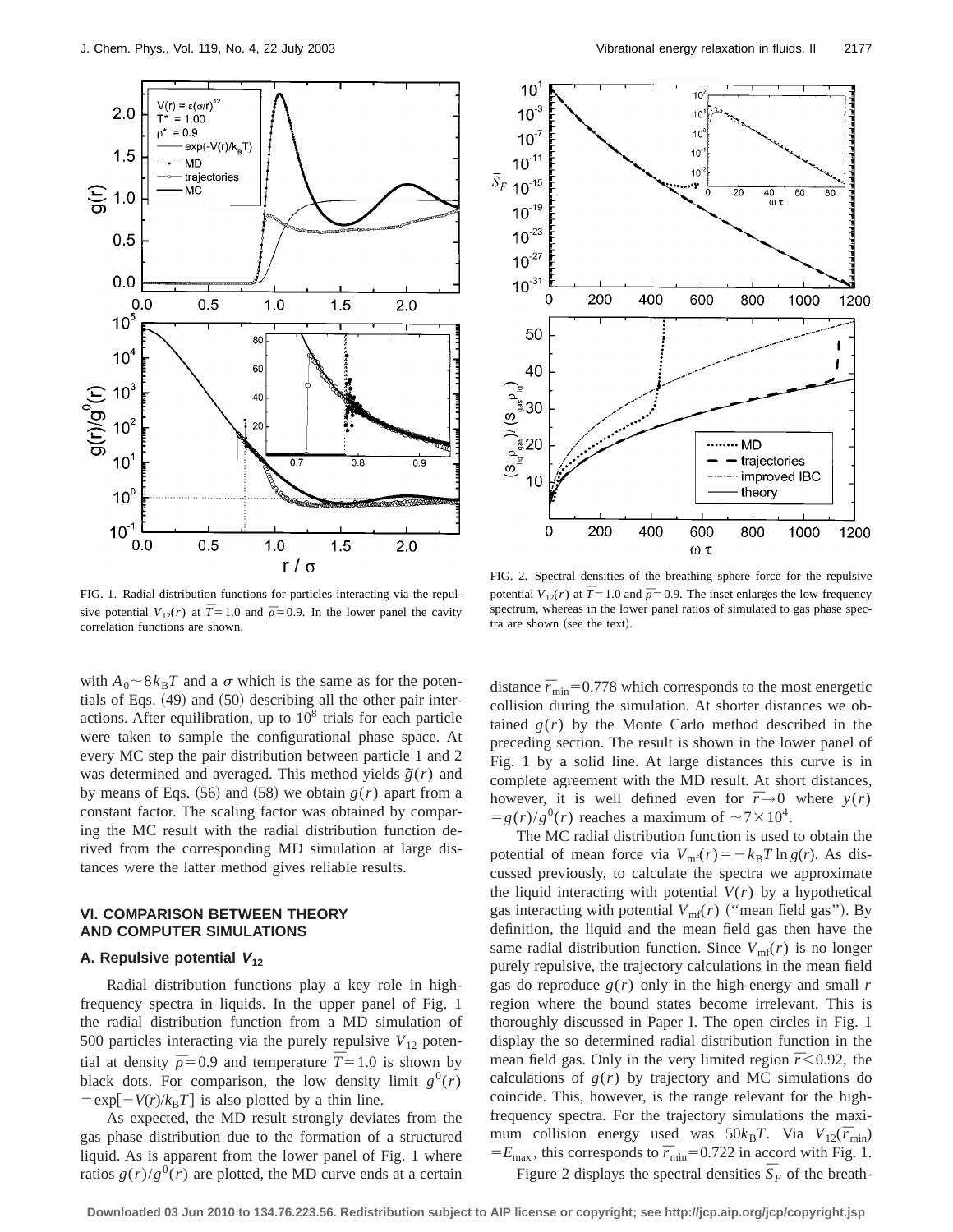



FIG. 1. Radial distribution functions for particles interacting via the repulsive potential  $V_{12}(r)$  at  $\overline{T}$ =1.0 and  $\overline{\rho}$ =0.9. In the lower panel the cavity correlation functions are shown.

with  $A_0 \sim 8k_BT$  and a  $\sigma$  which is the same as for the potentials of Eqs.  $(49)$  and  $(50)$  describing all the other pair interactions. After equilibration, up to  $10<sup>8</sup>$  trials for each particle were taken to sample the configurational phase space. At every MC step the pair distribution between particle 1 and 2 was determined and averaged. This method yields  $\tilde{g}(r)$  and by means of Eqs.  $(56)$  and  $(58)$  we obtain  $g(r)$  apart from a constant factor. The scaling factor was obtained by comparing the MC result with the radial distribution function derived from the corresponding MD simulation at large distances were the latter method gives reliable results.

### **VI. COMPARISON BETWEEN THEORY AND COMPUTER SIMULATIONS**

### **A. Repulsive potential <sup>V</sup><sup>12</sup>**

Radial distribution functions play a key role in highfrequency spectra in liquids. In the upper panel of Fig. 1 the radial distribution function from a MD simulation of 500 particles interacting via the purely repulsive  $V_{12}$  potential at density  $\bar{p}$ =0.9 and temperature  $\bar{T}$ =1.0 is shown by black dots. For comparison, the low density limit  $g^{0}(r)$  $=$ exp $\left[\frac{-V(r)}{k_B T}\right]$  is also plotted by a thin line.

As expected, the MD result strongly deviates from the gas phase distribution due to the formation of a structured liquid. As is apparent from the lower panel of Fig. 1 where ratios  $g(r)/g^{0}(r)$  are plotted, the MD curve ends at a certain

FIG. 2. Spectral densities of the breathing sphere force for the repulsive potential  $V_{12}(r)$  at  $\overline{T}$  = 1.0 and  $\overline{\rho}$  = 0.9. The inset enlarges the low-frequency spectrum, whereas in the lower panel ratios of simulated to gas phase spectra are shown (see the text).

distance  $\bar{r}_{min}$ =0.778 which corresponds to the most energetic collision during the simulation. At shorter distances we obtained  $g(r)$  by the Monte Carlo method described in the preceding section. The result is shown in the lower panel of Fig. 1 by a solid line. At large distances this curve is in complete agreement with the MD result. At short distances, however, it is well defined even for  $\bar{r} \rightarrow 0$  where  $y(r)$  $= g(r)/g^{0}(r)$  reaches a maximum of  $\sim 7 \times 10^{4}$ .

The MC radial distribution function is used to obtain the potential of mean force via  $V_{\text{mf}}(r) = -k_B T \ln g(r)$ . As discussed previously, to calculate the spectra we approximate the liquid interacting with potential  $V(r)$  by a hypothetical gas interacting with potential  $V_{\text{mf}}(r)$  ("mean field gas"). By definition, the liquid and the mean field gas then have the same radial distribution function. Since  $V_{\text{mf}}(r)$  is no longer purely repulsive, the trajectory calculations in the mean field gas do reproduce  $g(r)$  only in the high-energy and small  $r$ region where the bound states become irrelevant. This is thoroughly discussed in Paper I. The open circles in Fig. 1 display the so determined radial distribution function in the mean field gas. Only in the very limited region  $\bar{r}$  < 0.92, the calculations of  $g(r)$  by trajectory and MC simulations do coincide. This, however, is the range relevant for the highfrequency spectra. For the trajectory simulations the maximum collision energy used was  $50k_BT$ . Via  $V_{12}(\bar{r}_{min})$  $=E_{\text{max}}$ , this corresponds to  $\bar{r}_{\text{min}}$ =0.722 in accord with Fig. 1.

Figure 2 displays the spectral densities  $\overline{S}_F$  of the breath-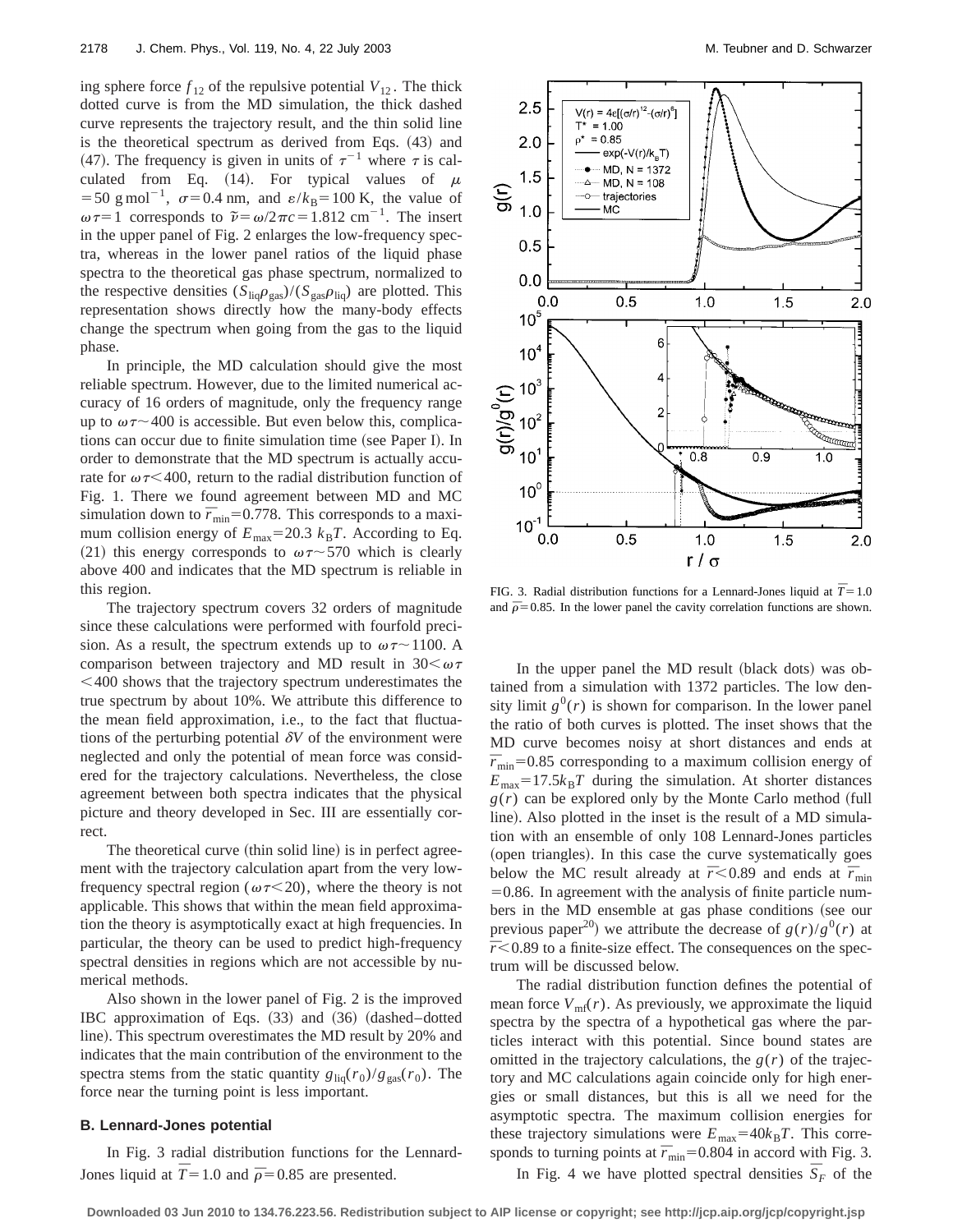ing sphere force  $f_{12}$  of the repulsive potential  $V_{12}$ . The thick dotted curve is from the MD simulation, the thick dashed curve represents the trajectory result, and the thin solid line is the theoretical spectrum as derived from Eqs.  $(43)$  and (47). The frequency is given in units of  $\tau^{-1}$  where  $\tau$  is calculated from Eq. (14). For typical values of  $\mu$  $=$  50 g mol<sup>-1</sup>,  $\sigma$ =0.4 nm, and  $\varepsilon/k_B$ =100 K, the value of  $\omega \tau = 1$  corresponds to  $\tilde{\nu} = \omega/2\pi c = 1.812$  cm<sup>-1</sup>. The insert in the upper panel of Fig. 2 enlarges the low-frequency spectra, whereas in the lower panel ratios of the liquid phase spectra to the theoretical gas phase spectrum, normalized to the respective densities  $(S_{liq}\rho_{gas})/(S_{gas}\rho_{liq})$  are plotted. This representation shows directly how the many-body effects change the spectrum when going from the gas to the liquid phase.

In principle, the MD calculation should give the most reliable spectrum. However, due to the limited numerical accuracy of 16 orders of magnitude, only the frequency range up to  $\omega \tau$  400 is accessible. But even below this, complications can occur due to finite simulation time (see Paper I). In order to demonstrate that the MD spectrum is actually accurate for  $\omega \tau$ <400, return to the radial distribution function of Fig. 1. There we found agreement between MD and MC simulation down to  $\bar{r}_{min}$ =0.778. This corresponds to a maximum collision energy of  $E_{\text{max}}=20.3$   $k_{\text{B}}T$ . According to Eq. (21) this energy corresponds to  $\omega \tau \sim 570$  which is clearly above 400 and indicates that the MD spectrum is reliable in this region.

The trajectory spectrum covers 32 orders of magnitude since these calculations were performed with fourfold precision. As a result, the spectrum extends up to  $\omega \tau \sim 1100$ . A comparison between trajectory and MD result in  $30<\omega\tau$  $<$  400 shows that the trajectory spectrum underestimates the true spectrum by about 10%. We attribute this difference to the mean field approximation, i.e., to the fact that fluctuations of the perturbing potential  $\delta V$  of the environment were neglected and only the potential of mean force was considered for the trajectory calculations. Nevertheless, the close agreement between both spectra indicates that the physical picture and theory developed in Sec. III are essentially correct.

The theoretical curve (thin solid line) is in perfect agreement with the trajectory calculation apart from the very lowfrequency spectral region ( $\omega \tau$ <20), where the theory is not applicable. This shows that within the mean field approximation the theory is asymptotically exact at high frequencies. In particular, the theory can be used to predict high-frequency spectral densities in regions which are not accessible by numerical methods.

Also shown in the lower panel of Fig. 2 is the improved IBC approximation of Eqs.  $(33)$  and  $(36)$   $(dashed-dotted)$ line). This spectrum overestimates the MD result by 20% and indicates that the main contribution of the environment to the spectra stems from the static quantity  $g_{\text{liq}}(r_0)/g_{\text{gas}}(r_0)$ . The force near the turning point is less important.

#### **B. Lennard-Jones potential**



FIG. 3. Radial distribution functions for a Lennard-Jones liquid at  $\bar{T}$  = 1.0 and  $\bar{p}=0.85$ . In the lower panel the cavity correlation functions are shown.

In the upper panel the MD result (black dots) was obtained from a simulation with 1372 particles. The low density limit  $g^{0}(r)$  is shown for comparison. In the lower panel the ratio of both curves is plotted. The inset shows that the MD curve becomes noisy at short distances and ends at  $\bar{r}_{\text{min}}$ =0.85 corresponding to a maximum collision energy of  $E_{\text{max}}=17.5k_{\text{B}}T$  during the simulation. At shorter distances  $g(r)$  can be explored only by the Monte Carlo method (full line). Also plotted in the inset is the result of a MD simulation with an ensemble of only 108 Lennard-Jones particles (open triangles). In this case the curve systematically goes below the MC result already at  $\bar{r}$  < 0.89 and ends at  $\bar{r}_{\min}$  $=0.86$ . In agreement with the analysis of finite particle numbers in the MD ensemble at gas phase conditions (see our previous paper<sup>20</sup>) we attribute the decrease of  $g(r)/g^0(r)$  at  $\bar{r}$ <0.89 to a finite-size effect. The consequences on the spectrum will be discussed below.

The radial distribution function defines the potential of mean force  $V_{\text{mf}}(r)$ . As previously, we approximate the liquid spectra by the spectra of a hypothetical gas where the particles interact with this potential. Since bound states are omitted in the trajectory calculations, the  $g(r)$  of the trajectory and MC calculations again coincide only for high energies or small distances, but this is all we need for the asymptotic spectra. The maximum collision energies for these trajectory simulations were  $E_{\text{max}}=40k_BT$ . This corresponds to turning points at  $\bar{r}_{min}$ =0.804 in accord with Fig. 3. In Fig. 4 we have plotted spectral densities  $\bar{S}_F$  of the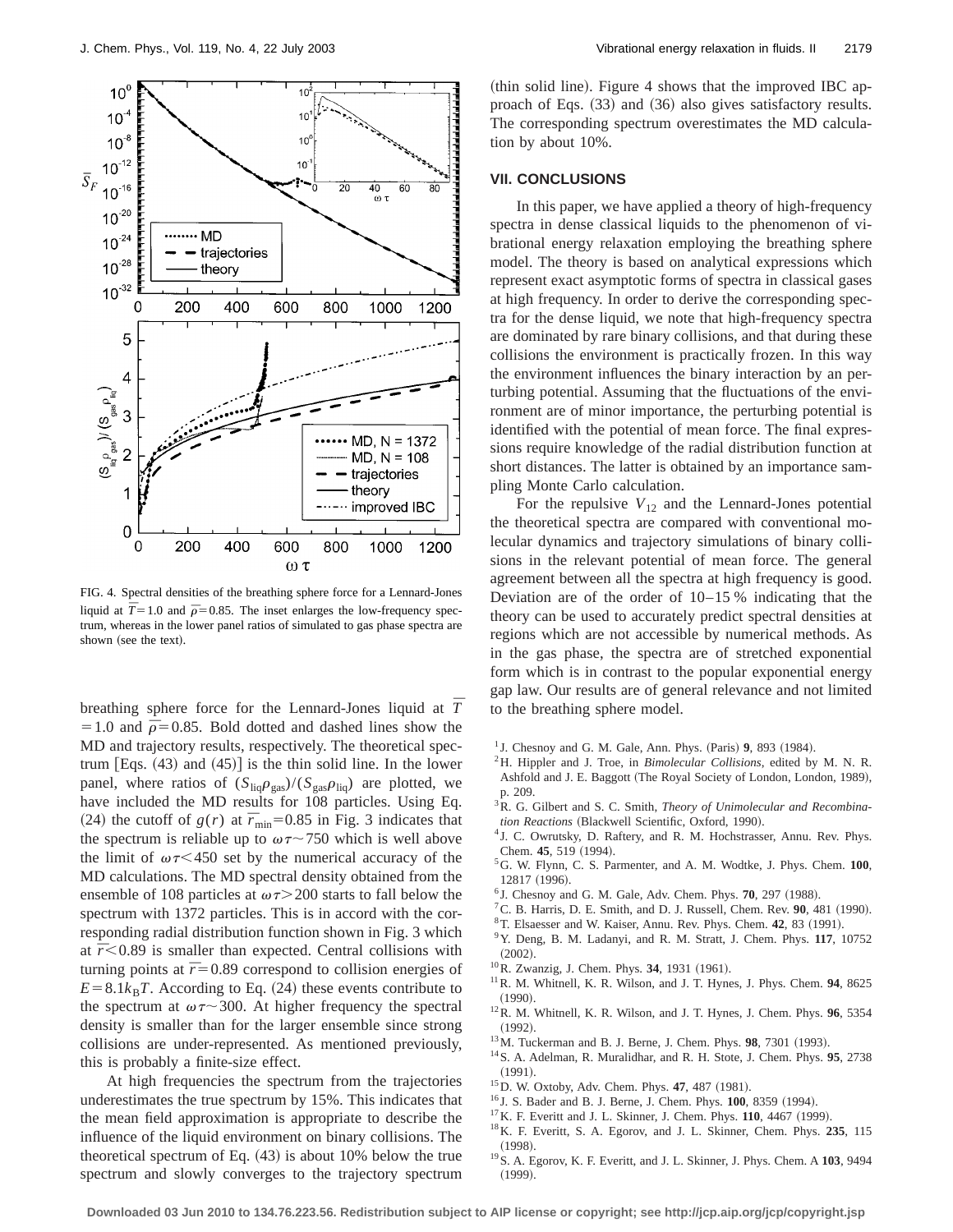

FIG. 4. Spectral densities of the breathing sphere force for a Lennard-Jones liquid at  $\overline{T}$  = 1.0 and  $\overline{p}$  = 0.85. The inset enlarges the low-frequency spectrum, whereas in the lower panel ratios of simulated to gas phase spectra are shown (see the text).

breathing sphere force for the Lennard-Jones liquid at *¯ T*  $=1.0$  and  $\bar{p}=0.85$ . Bold dotted and dashed lines show the MD and trajectory results, respectively. The theoretical spectrum  $[Eqs. (43)$  and  $(45)]$  is the thin solid line. In the lower panel, where ratios of  $(S_{liq}\rho_{gas})/(S_{gas}\rho_{liq})$  are plotted, we have included the MD results for 108 particles. Using Eq. (24) the cutoff of  $g(r)$  at  $\bar{r}_{min}$ =0.85 in Fig. 3 indicates that the spectrum is reliable up to  $\omega \tau$  ~750 which is well above the limit of  $\omega \tau$  < 450 set by the numerical accuracy of the MD calculations. The MD spectral density obtained from the ensemble of 108 particles at  $\omega \tau$  200 starts to fall below the spectrum with 1372 particles. This is in accord with the corresponding radial distribution function shown in Fig. 3 which at  $\bar{r}$ <0.89 is smaller than expected. Central collisions with turning points at  $\bar{r}=0.89$  correspond to collision energies of  $E=8.1k_BT$ . According to Eq. (24) these events contribute to the spectrum at  $\omega \tau \sim 300$ . At higher frequency the spectral density is smaller than for the larger ensemble since strong collisions are under-represented. As mentioned previously, this is probably a finite-size effect.

brational energy relaxation employing the breathing sphere model. The theory is based on analytical expressions which

tion by about 10%.

**VII. CONCLUSIONS**

represent exact asymptotic forms of spectra in classical gases at high frequency. In order to derive the corresponding spectra for the dense liquid, we note that high-frequency spectra are dominated by rare binary collisions, and that during these collisions the environment is practically frozen. In this way the environment influences the binary interaction by an perturbing potential. Assuming that the fluctuations of the environment are of minor importance, the perturbing potential is identified with the potential of mean force. The final expressions require knowledge of the radial distribution function at short distances. The latter is obtained by an importance sampling Monte Carlo calculation.

(thin solid line). Figure 4 shows that the improved IBC approach of Eqs.  $(33)$  and  $(36)$  also gives satisfactory results. The corresponding spectrum overestimates the MD calcula-

In this paper, we have applied a theory of high-frequency spectra in dense classical liquids to the phenomenon of vi-

For the repulsive  $V_{12}$  and the Lennard-Jones potential the theoretical spectra are compared with conventional molecular dynamics and trajectory simulations of binary collisions in the relevant potential of mean force. The general agreement between all the spectra at high frequency is good. Deviation are of the order of 10–15 % indicating that the theory can be used to accurately predict spectral densities at regions which are not accessible by numerical methods. As in the gas phase, the spectra are of stretched exponential form which is in contrast to the popular exponential energy gap law. Our results are of general relevance and not limited to the breathing sphere model.

- <sup>1</sup> J. Chesnoy and G. M. Gale, Ann. Phys.  $(Paris)$  **9**, 893  $(1984)$ .
- 2H. Hippler and J. Troe, in *Bimolecular Collisions*, edited by M. N. R. Ashfold and J. E. Baggott (The Royal Society of London, London, 1989), p. 209.
- 3R. G. Gilbert and S. C. Smith, *Theory of Unimolecular and Recombina-* $$
- <sup>4</sup> J. C. Owrutsky, D. Raftery, and R. M. Hochstrasser, Annu. Rev. Phys. Chem. **45**, 519 (1994).
- 5G. W. Flynn, C. S. Parmenter, and A. M. Wodtke, J. Phys. Chem. **100**, 12817 (1996).
- <sup>6</sup> J. Chesnoy and G. M. Gale, Adv. Chem. Phys. **70**, 297 (1988).
- ${}^{7}$ C. B. Harris, D. E. Smith, and D. J. Russell, Chem. Rev.  $90$ , 481 (1990).
- <sup>8</sup>T. Elsaesser and W. Kaiser, Annu. Rev. Phys. Chem. 42, 83 (1991).
- 9Y. Deng, B. M. Ladanyi, and R. M. Stratt, J. Chem. Phys. **117**, 10752  $(2002).$
- <sup>10</sup>R. Zwanzig, J. Chem. Phys. **34**, 1931 (1961).
- 11R. M. Whitnell, K. R. Wilson, and J. T. Hynes, J. Phys. Chem. **94**, 8625  $(1990)$
- 12R. M. Whitnell, K. R. Wilson, and J. T. Hynes, J. Chem. Phys. **96**, 5354  $(1992)$ .
- <sup>13</sup>M. Tuckerman and B. J. Berne, J. Chem. Phys. **98**, 7301 (1993).
- 14S. A. Adelman, R. Muralidhar, and R. H. Stote, J. Chem. Phys. **95**, 2738  $(1991).$
- <sup>15</sup>D. W. Oxtoby, Adv. Chem. Phys. **47**, 487 (1981).
- <sup>16</sup> J. S. Bader and B. J. Berne, J. Chem. Phys. **100**, 8359 (1994).
- <sup>17</sup>K. F. Everitt and J. L. Skinner, J. Chem. Phys. **110**, 4467 (1999).
- 18K. F. Everitt, S. A. Egorov, and J. L. Skinner, Chem. Phys. **235**, 115  $(1998).$
- 19S. A. Egorov, K. F. Everitt, and J. L. Skinner, J. Phys. Chem. A **103**, 9494  $(1999)$ .

At high frequencies the spectrum from the trajectories underestimates the true spectrum by 15%. This indicates that the mean field approximation is appropriate to describe the influence of the liquid environment on binary collisions. The theoretical spectrum of Eq.  $(43)$  is about 10% below the true spectrum and slowly converges to the trajectory spectrum